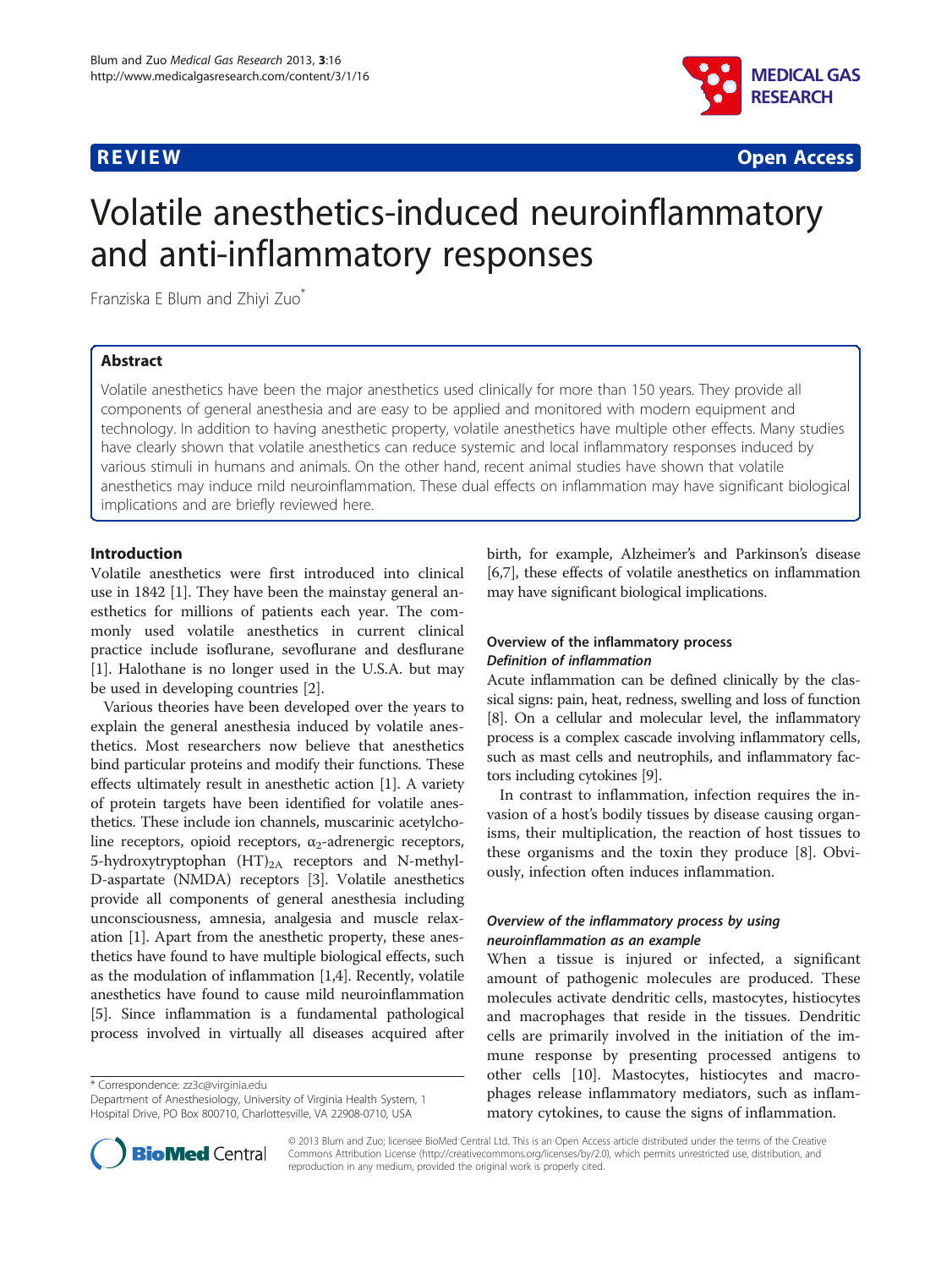

**REVIEW CONSTRUCTION CONSTRUCTION CONSTRUCTS** 

# Volatile anesthetics-induced neuroinflammatory and anti-inflammatory responses

Franziska E Blum and Zhiyi Zuo\*

# Abstract

Volatile anesthetics have been the major anesthetics used clinically for more than 150 years. They provide all components of general anesthesia and are easy to be applied and monitored with modern equipment and technology. In addition to having anesthetic property, volatile anesthetics have multiple other effects. Many studies have clearly shown that volatile anesthetics can reduce systemic and local inflammatory responses induced by various stimuli in humans and animals. On the other hand, recent animal studies have shown that volatile anesthetics may induce mild neuroinflammation. These dual effects on inflammation may have significant biological implications and are briefly reviewed here.

# Introduction

Volatile anesthetics were first introduced into clinical use in 1842 [[1\]](#page-3-0). They have been the mainstay general anesthetics for millions of patients each year. The commonly used volatile anesthetics in current clinical practice include isoflurane, sevoflurane and desflurane [[1\]](#page-3-0). Halothane is no longer used in the U.S.A. but may be used in developing countries [[2\]](#page-3-0).

Various theories have been developed over the years to explain the general anesthesia induced by volatile anesthetics. Most researchers now believe that anesthetics bind particular proteins and modify their functions. These effects ultimately result in anesthetic action [[1](#page-3-0)]. A variety of protein targets have been identified for volatile anesthetics. These include ion channels, muscarinic acetylcholine receptors, opioid receptors,  $\alpha_2$ -adrenergic receptors, 5-hydroxytryptophan  $(HT)_{2A}$  receptors and N-methyl-D-aspartate (NMDA) receptors [\[3](#page-3-0)]. Volatile anesthetics provide all components of general anesthesia including unconsciousness, amnesia, analgesia and muscle relaxation [\[1](#page-3-0)]. Apart from the anesthetic property, these anesthetics have found to have multiple biological effects, such as the modulation of inflammation [\[1,4\]](#page-3-0). Recently, volatile anesthetics have found to cause mild neuroinflammation [[5\]](#page-3-0). Since inflammation is a fundamental pathological process involved in virtually all diseases acquired after

\* Correspondence: [zz3c@virginia.edu](mailto:zz3c@virginia.edu)



# Overview of the inflammatory process Definition of inflammation

Acute inflammation can be defined clinically by the classical signs: pain, heat, redness, swelling and loss of function [[8](#page-3-0)]. On a cellular and molecular level, the inflammatory process is a complex cascade involving inflammatory cells, such as mast cells and neutrophils, and inflammatory factors including cytokines [\[9](#page-3-0)].

In contrast to inflammation, infection requires the invasion of a host's bodily tissues by disease causing organisms, their multiplication, the reaction of host tissues to these organisms and the toxin they produce [[8](#page-3-0)]. Obviously, infection often induces inflammation.

# Overview of the inflammatory process by using neuroinflammation as an example

When a tissue is injured or infected, a significant amount of pathogenic molecules are produced. These molecules activate dendritic cells, mastocytes, histiocytes and macrophages that reside in the tissues. Dendritic cells are primarily involved in the initiation of the immune response by presenting processed antigens to other cells [[10\]](#page-3-0). Mastocytes, histiocytes and macrophages release inflammatory mediators, such as inflammatory cytokines, to cause the signs of inflammation.



© 2013 Blum and Zuo; licensee BioMed Central Ltd. This is an Open Access article distributed under the terms of the Creative Commons Attribution License [\(http://creativecommons.org/licenses/by/2.0\)](http://creativecommons.org/licenses/by/2.0), which permits unrestricted use, distribution, and reproduction in any medium, provided the original work is properly cited.

Department of Anesthesiology, University of Virginia Health System, 1 Hospital Drive, PO Box 800710, Charlottesville, VA 22908-0710, USA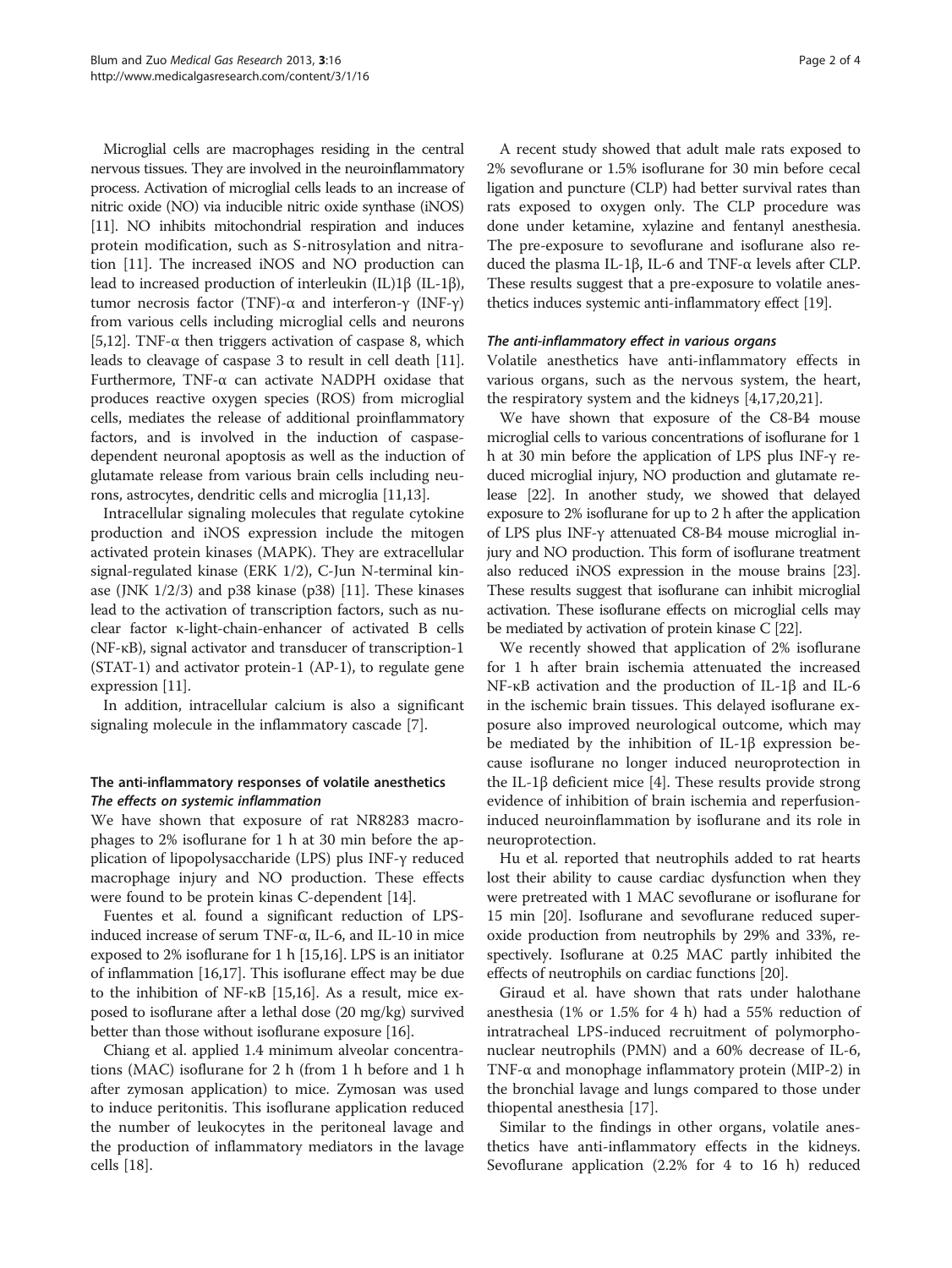Microglial cells are macrophages residing in the central nervous tissues. They are involved in the neuroinflammatory process. Activation of microglial cells leads to an increase of nitric oxide (NO) via inducible nitric oxide synthase (iNOS) [[11\]](#page-3-0). NO inhibits mitochondrial respiration and induces protein modification, such as S-nitrosylation and nitration [\[11\]](#page-3-0). The increased iNOS and NO production can lead to increased production of interleukin (IL)1β (IL-1β), tumor necrosis factor (TNF)-α and interferon-γ (INF-γ) from various cells including microglial cells and neurons [[5,12](#page-3-0)]. TNF- $\alpha$  then triggers activation of caspase 8, which leads to cleavage of caspase 3 to result in cell death [[11](#page-3-0)]. Furthermore, TNF-α can activate NADPH oxidase that produces reactive oxygen species (ROS) from microglial cells, mediates the release of additional proinflammatory factors, and is involved in the induction of caspasedependent neuronal apoptosis as well as the induction of glutamate release from various brain cells including neurons, astrocytes, dendritic cells and microglia [\[11,13\]](#page-3-0).

Intracellular signaling molecules that regulate cytokine production and iNOS expression include the mitogen activated protein kinases (MAPK). They are extracellular signal-regulated kinase (ERK 1/2), C-Jun N-terminal kinase (JNK 1/2/3) and p38 kinase (p38) [\[11\]](#page-3-0). These kinases lead to the activation of transcription factors, such as nuclear factor κ-light-chain-enhancer of activated B cells (NF-κB), signal activator and transducer of transcription-1 (STAT-1) and activator protein-1 (AP-1), to regulate gene expression [[11](#page-3-0)].

In addition, intracellular calcium is also a significant signaling molecule in the inflammatory cascade [\[7](#page-3-0)].

# The anti-inflammatory responses of volatile anesthetics The effects on systemic inflammation

We have shown that exposure of rat NR8283 macrophages to 2% isoflurane for 1 h at 30 min before the application of lipopolysaccharide (LPS) plus INF-γ reduced macrophage injury and NO production. These effects were found to be protein kinas C-dependent [\[14](#page-3-0)].

Fuentes et al. found a significant reduction of LPSinduced increase of serum TNF-α, IL-6, and IL-10 in mice exposed to 2% isoflurane for 1 h [\[15,16\]](#page-3-0). LPS is an initiator of inflammation [\[16,17](#page-3-0)]. This isoflurane effect may be due to the inhibition of NF-κB [\[15,16\]](#page-3-0). As a result, mice exposed to isoflurane after a lethal dose (20 mg/kg) survived better than those without isoflurane exposure [\[16\]](#page-3-0).

Chiang et al. applied 1.4 minimum alveolar concentrations (MAC) isoflurane for 2 h (from 1 h before and 1 h after zymosan application) to mice. Zymosan was used to induce peritonitis. This isoflurane application reduced the number of leukocytes in the peritoneal lavage and the production of inflammatory mediators in the lavage cells [[18](#page-3-0)].

A recent study showed that adult male rats exposed to 2% sevoflurane or 1.5% isoflurane for 30 min before cecal ligation and puncture (CLP) had better survival rates than rats exposed to oxygen only. The CLP procedure was done under ketamine, xylazine and fentanyl anesthesia. The pre-exposure to sevoflurane and isoflurane also reduced the plasma IL-1β, IL-6 and TNF-α levels after CLP. These results suggest that a pre-exposure to volatile anesthetics induces systemic anti-inflammatory effect [[19](#page-3-0)].

### The anti-inflammatory effect in various organs

Volatile anesthetics have anti-inflammatory effects in various organs, such as the nervous system, the heart, the respiratory system and the kidneys [[4,17,20,21\]](#page-3-0).

We have shown that exposure of the C8-B4 mouse microglial cells to various concentrations of isoflurane for 1 h at 30 min before the application of LPS plus INF-γ reduced microglial injury, NO production and glutamate release [[22](#page-3-0)]. In another study, we showed that delayed exposure to 2% isoflurane for up to 2 h after the application of LPS plus INF-γ attenuated C8-B4 mouse microglial injury and NO production. This form of isoflurane treatment also reduced iNOS expression in the mouse brains [\[23](#page-3-0)]. These results suggest that isoflurane can inhibit microglial activation. These isoflurane effects on microglial cells may be mediated by activation of protein kinase C [[22](#page-3-0)].

We recently showed that application of 2% isoflurane for 1 h after brain ischemia attenuated the increased NF-κB activation and the production of IL-1β and IL-6 in the ischemic brain tissues. This delayed isoflurane exposure also improved neurological outcome, which may be mediated by the inhibition of IL-1β expression because isoflurane no longer induced neuroprotection in the IL-1β deficient mice [\[4](#page-3-0)]. These results provide strong evidence of inhibition of brain ischemia and reperfusioninduced neuroinflammation by isoflurane and its role in neuroprotection.

Hu et al. reported that neutrophils added to rat hearts lost their ability to cause cardiac dysfunction when they were pretreated with 1 MAC sevoflurane or isoflurane for 15 min [[20](#page-3-0)]. Isoflurane and sevoflurane reduced superoxide production from neutrophils by 29% and 33%, respectively. Isoflurane at 0.25 MAC partly inhibited the effects of neutrophils on cardiac functions [\[20](#page-3-0)].

Giraud et al. have shown that rats under halothane anesthesia (1% or 1.5% for 4 h) had a 55% reduction of intratracheal LPS-induced recruitment of polymorphonuclear neutrophils (PMN) and a 60% decrease of IL-6, TNF-α and monophage inflammatory protein (MIP-2) in the bronchial lavage and lungs compared to those under thiopental anesthesia [[17\]](#page-3-0).

Similar to the findings in other organs, volatile anesthetics have anti-inflammatory effects in the kidneys. Sevoflurane application (2.2% for 4 to 16 h) reduced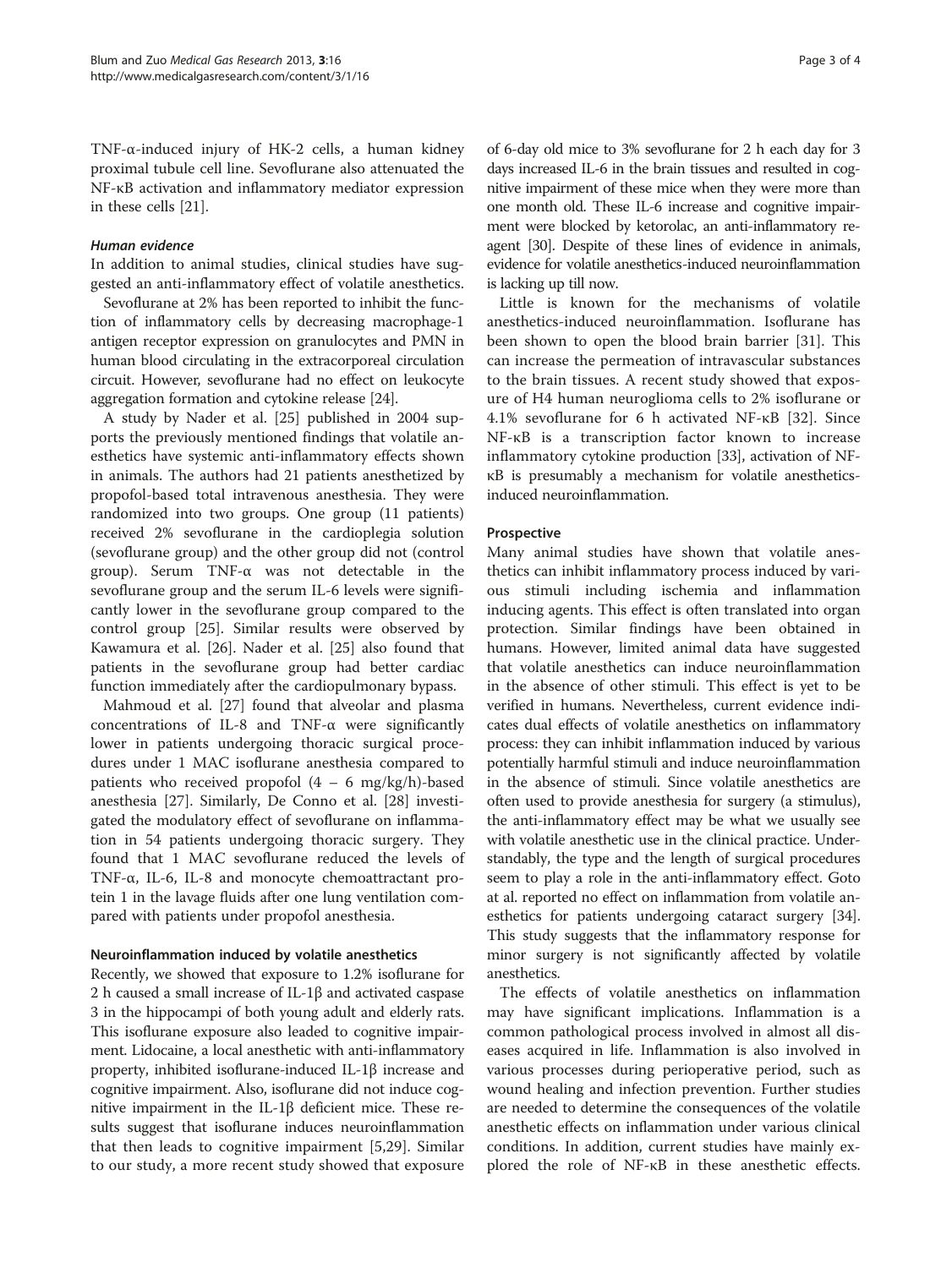TNF-α-induced injury of HK-2 cells, a human kidney proximal tubule cell line. Sevoflurane also attenuated the NF-κB activation and inflammatory mediator expression in these cells [[21](#page-3-0)].

### Human evidence

In addition to animal studies, clinical studies have suggested an anti-inflammatory effect of volatile anesthetics.

Sevoflurane at 2% has been reported to inhibit the function of inflammatory cells by decreasing macrophage-1 antigen receptor expression on granulocytes and PMN in human blood circulating in the extracorporeal circulation circuit. However, sevoflurane had no effect on leukocyte aggregation formation and cytokine release [\[24](#page-3-0)].

A study by Nader et al. [[25\]](#page-3-0) published in 2004 supports the previously mentioned findings that volatile anesthetics have systemic anti-inflammatory effects shown in animals. The authors had 21 patients anesthetized by propofol-based total intravenous anesthesia. They were randomized into two groups. One group (11 patients) received 2% sevoflurane in the cardioplegia solution (sevoflurane group) and the other group did not (control group). Serum TNF-α was not detectable in the sevoflurane group and the serum IL-6 levels were significantly lower in the sevoflurane group compared to the control group [\[25\]](#page-3-0). Similar results were observed by Kawamura et al. [[26\]](#page-3-0). Nader et al. [\[25](#page-3-0)] also found that patients in the sevoflurane group had better cardiac function immediately after the cardiopulmonary bypass.

Mahmoud et al. [\[27](#page-3-0)] found that alveolar and plasma concentrations of IL-8 and TNF-α were significantly lower in patients undergoing thoracic surgical procedures under 1 MAC isoflurane anesthesia compared to patients who received propofol  $(4 - 6 \text{ mg/kg/h})$ -based anesthesia [[27\]](#page-3-0). Similarly, De Conno et al. [\[28](#page-3-0)] investigated the modulatory effect of sevoflurane on inflammation in 54 patients undergoing thoracic surgery. They found that 1 MAC sevoflurane reduced the levels of TNF-α, IL-6, IL-8 and monocyte chemoattractant protein 1 in the lavage fluids after one lung ventilation compared with patients under propofol anesthesia.

### Neuroinflammation induced by volatile anesthetics

Recently, we showed that exposure to 1.2% isoflurane for 2 h caused a small increase of IL-1β and activated caspase 3 in the hippocampi of both young adult and elderly rats. This isoflurane exposure also leaded to cognitive impairment. Lidocaine, a local anesthetic with anti-inflammatory property, inhibited isoflurane-induced IL-1β increase and cognitive impairment. Also, isoflurane did not induce cognitive impairment in the IL-1β deficient mice. These results suggest that isoflurane induces neuroinflammation that then leads to cognitive impairment [\[5](#page-3-0),[29\]](#page-3-0). Similar to our study, a more recent study showed that exposure

of 6-day old mice to 3% sevoflurane for 2 h each day for 3 days increased IL-6 in the brain tissues and resulted in cognitive impairment of these mice when they were more than one month old. These IL-6 increase and cognitive impairment were blocked by ketorolac, an anti-inflammatory reagent [\[30](#page-3-0)]. Despite of these lines of evidence in animals, evidence for volatile anesthetics-induced neuroinflammation is lacking up till now.

Little is known for the mechanisms of volatile anesthetics-induced neuroinflammation. Isoflurane has been shown to open the blood brain barrier [\[31\]](#page-3-0). This can increase the permeation of intravascular substances to the brain tissues. A recent study showed that exposure of H4 human neuroglioma cells to 2% isoflurane or 4.1% sevoflurane for 6 h activated NF-κB [[32](#page-3-0)]. Since NF-κB is a transcription factor known to increase inflammatory cytokine production [[33](#page-3-0)], activation of NFκB is presumably a mechanism for volatile anestheticsinduced neuroinflammation.

### Prospective

Many animal studies have shown that volatile anesthetics can inhibit inflammatory process induced by various stimuli including ischemia and inflammation inducing agents. This effect is often translated into organ protection. Similar findings have been obtained in humans. However, limited animal data have suggested that volatile anesthetics can induce neuroinflammation in the absence of other stimuli. This effect is yet to be verified in humans. Nevertheless, current evidence indicates dual effects of volatile anesthetics on inflammatory process: they can inhibit inflammation induced by various potentially harmful stimuli and induce neuroinflammation in the absence of stimuli. Since volatile anesthetics are often used to provide anesthesia for surgery (a stimulus), the anti-inflammatory effect may be what we usually see with volatile anesthetic use in the clinical practice. Understandably, the type and the length of surgical procedures seem to play a role in the anti-inflammatory effect. Goto at al. reported no effect on inflammation from volatile anesthetics for patients undergoing cataract surgery [[34](#page-3-0)]. This study suggests that the inflammatory response for minor surgery is not significantly affected by volatile anesthetics.

The effects of volatile anesthetics on inflammation may have significant implications. Inflammation is a common pathological process involved in almost all diseases acquired in life. Inflammation is also involved in various processes during perioperative period, such as wound healing and infection prevention. Further studies are needed to determine the consequences of the volatile anesthetic effects on inflammation under various clinical conditions. In addition, current studies have mainly explored the role of NF-κB in these anesthetic effects.